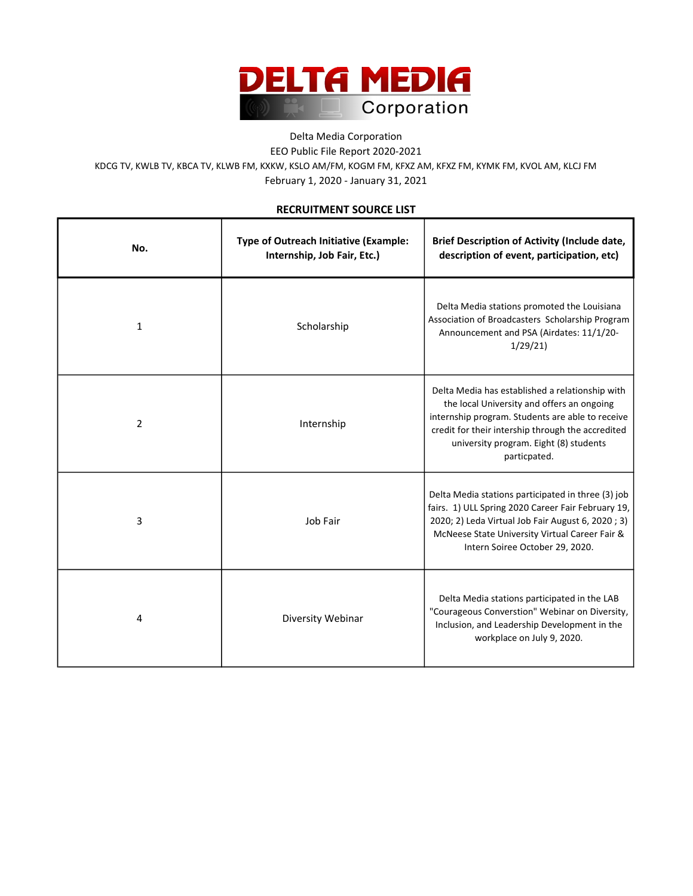

## Delta Media Corporation EEO Public File Report 2020-2021 February 1, 2020 - January 31, 2021 KDCG TV, KWLB TV, KBCA TV, KLWB FM, KXKW, KSLO AM/FM, KOGM FM, KFXZ AM, KFXZ FM, KYMK FM, KVOL AM, KLCJ FM

## RECRUITMENT SOURCE LIST

| No.            | Type of Outreach Initiative (Example:<br>Internship, Job Fair, Etc.) | <b>Brief Description of Activity (Include date,</b><br>description of event, participation, etc)                                                                                                                                                                 |
|----------------|----------------------------------------------------------------------|------------------------------------------------------------------------------------------------------------------------------------------------------------------------------------------------------------------------------------------------------------------|
| $\mathbf{1}$   | Scholarship                                                          | Delta Media stations promoted the Louisiana<br>Association of Broadcasters Scholarship Program<br>Announcement and PSA (Airdates: 11/1/20-<br>1/29/21                                                                                                            |
| $\overline{2}$ | Internship                                                           | Delta Media has established a relationship with<br>the local University and offers an ongoing<br>internship program. Students are able to receive<br>credit for their intership through the accredited<br>university program. Eight (8) students<br>particpated. |
| 3              | Job Fair                                                             | Delta Media stations participated in three (3) job<br>fairs. 1) ULL Spring 2020 Career Fair February 19,<br>2020; 2) Leda Virtual Job Fair August 6, 2020; 3)<br>McNeese State University Virtual Career Fair &<br>Intern Soiree October 29, 2020.               |
| 4              | Diversity Webinar                                                    | Delta Media stations participated in the LAB<br>"Courageous Converstion" Webinar on Diversity,<br>Inclusion, and Leadership Development in the<br>workplace on July 9, 2020.                                                                                     |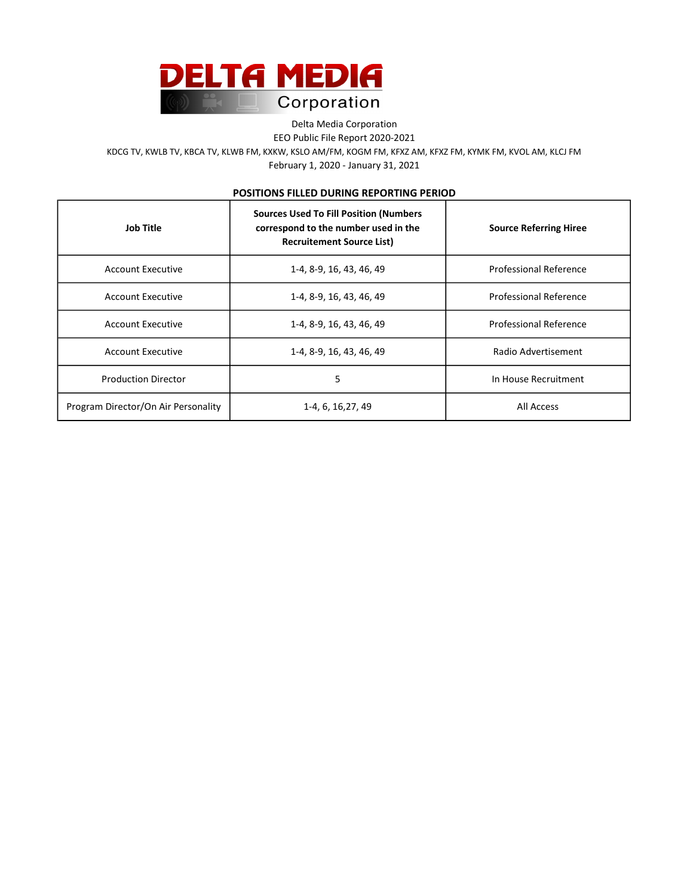

Delta Media Corporation

EEO Public File Report 2020-2021

February 1, 2020 - January 31, 2021 KDCG TV, KWLB TV, KBCA TV, KLWB FM, KXKW, KSLO AM/FM, KOGM FM, KFXZ AM, KFXZ FM, KYMK FM, KVOL AM, KLCJ FM

## POSITIONS FILLED DURING REPORTING PERIOD

| <b>Job Title</b>                    | <b>Sources Used To Fill Position (Numbers</b><br>correspond to the number used in the<br><b>Recruitement Source List)</b> | <b>Source Referring Hiree</b> |
|-------------------------------------|---------------------------------------------------------------------------------------------------------------------------|-------------------------------|
| Account Executive                   | 1-4, 8-9, 16, 43, 46, 49                                                                                                  | Professional Reference        |
| Account Executive                   | 1-4, 8-9, 16, 43, 46, 49                                                                                                  | <b>Professional Reference</b> |
| Account Executive                   | 1-4, 8-9, 16, 43, 46, 49                                                                                                  | <b>Professional Reference</b> |
| Account Executive                   | 1-4, 8-9, 16, 43, 46, 49                                                                                                  | Radio Advertisement           |
| <b>Production Director</b>          | 5                                                                                                                         | In House Recruitment          |
| Program Director/On Air Personality | 1-4, 6, 16, 27, 49                                                                                                        | All Access                    |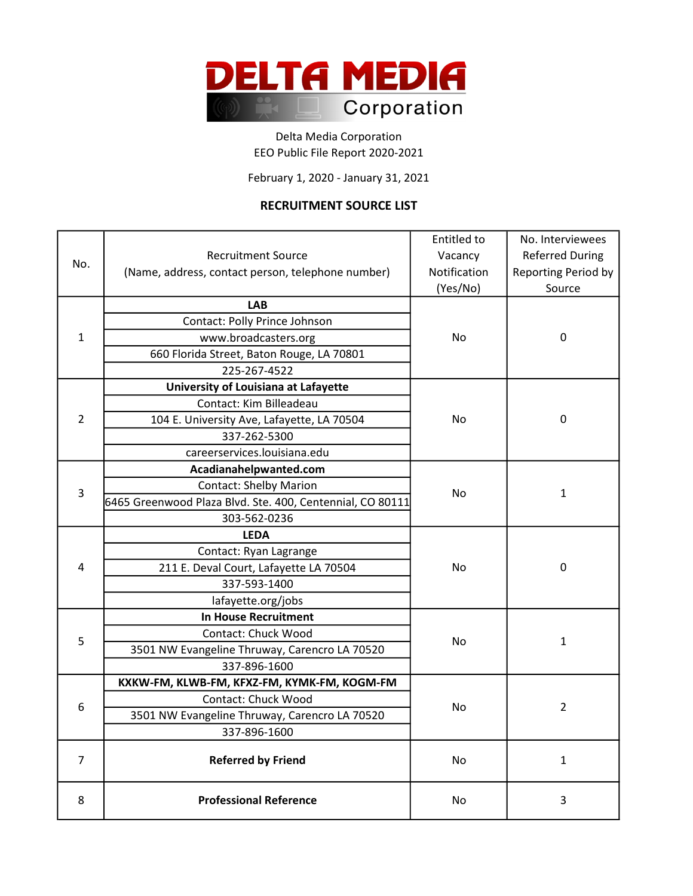

EEO Public File Report 2020-2021 Delta Media Corporation

February 1, 2020 - January 31, 2021

## RECRUITMENT SOURCE LIST

|                |                                                           | Entitled to  | No. Interviewees       |
|----------------|-----------------------------------------------------------|--------------|------------------------|
|                | <b>Recruitment Source</b>                                 | Vacancy      | <b>Referred During</b> |
| No.            | (Name, address, contact person, telephone number)         | Notification | Reporting Period by    |
|                |                                                           | (Yes/No)     | Source                 |
|                | <b>LAB</b>                                                |              |                        |
|                | Contact: Polly Prince Johnson                             |              |                        |
| 1              | www.broadcasters.org                                      | No.          | 0                      |
|                | 660 Florida Street, Baton Rouge, LA 70801                 |              |                        |
|                | 225-267-4522                                              |              |                        |
|                | University of Louisiana at Lafayette                      |              |                        |
|                | Contact: Kim Billeadeau                                   |              |                        |
| $\overline{2}$ | 104 E. University Ave, Lafayette, LA 70504                | No           | 0                      |
|                | 337-262-5300                                              |              |                        |
|                | careerservices.louisiana.edu                              |              |                        |
|                | Acadianahelpwanted.com                                    | No           | $\mathbf{1}$           |
|                | <b>Contact: Shelby Marion</b>                             |              |                        |
| 3              | 6465 Greenwood Plaza Blvd. Ste. 400, Centennial, CO 80111 |              |                        |
|                | 303-562-0236                                              |              |                        |
|                | <b>LEDA</b>                                               |              |                        |
|                | Contact: Ryan Lagrange                                    |              |                        |
| 4              | 211 E. Deval Court, Lafayette LA 70504                    | No           | 0                      |
|                | 337-593-1400                                              |              |                        |
|                | lafayette.org/jobs                                        |              |                        |
|                | <b>In House Recruitment</b>                               |              |                        |
|                | Contact: Chuck Wood                                       |              |                        |
| 5              | 3501 NW Evangeline Thruway, Carencro LA 70520             | No.          | $\mathbf{1}$           |
|                | 337-896-1600                                              |              |                        |
| 6              | KXKW-FM, KLWB-FM, KFXZ-FM, KYMK-FM, KOGM-FM               |              |                        |
|                | Contact: Chuck Wood                                       |              |                        |
|                | 3501 NW Evangeline Thruway, Carencro LA 70520             | No           | $\overline{2}$         |
|                | 337-896-1600                                              |              |                        |
| $\overline{7}$ | <b>Referred by Friend</b>                                 | No           | $\mathbf{1}$           |
|                |                                                           |              |                        |
| 8              | <b>Professional Reference</b>                             | No           | 3                      |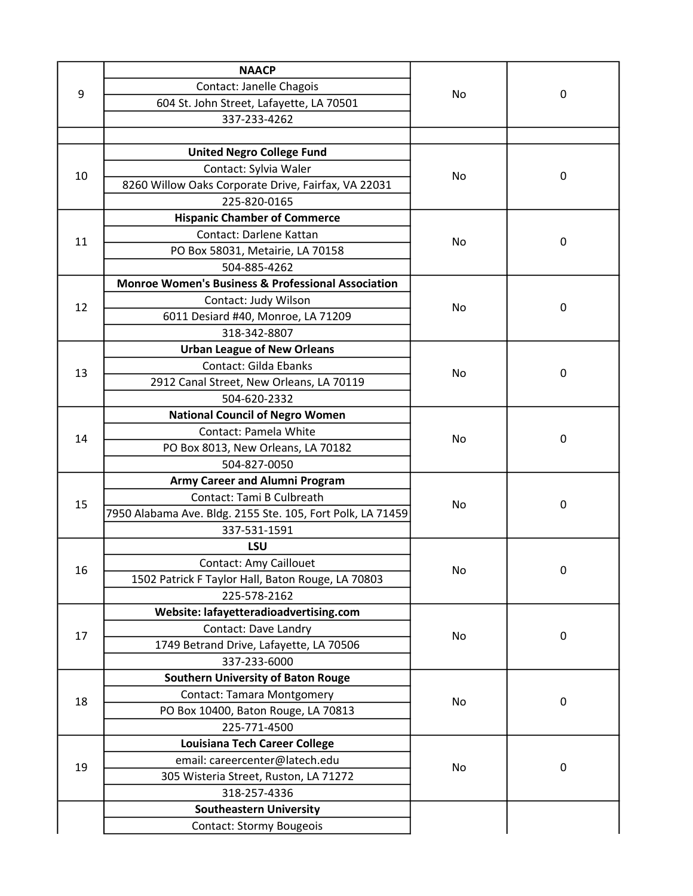| 9  | <b>NAACP</b>                                                  |    | $\mathbf 0$ |
|----|---------------------------------------------------------------|----|-------------|
|    | Contact: Janelle Chagois                                      |    |             |
|    | 604 St. John Street, Lafayette, LA 70501                      | No |             |
|    | 337-233-4262                                                  |    |             |
|    |                                                               |    |             |
|    | <b>United Negro College Fund</b>                              |    |             |
| 10 | Contact: Sylvia Waler                                         | No | 0           |
|    | 8260 Willow Oaks Corporate Drive, Fairfax, VA 22031           |    |             |
|    | 225-820-0165                                                  |    |             |
|    | <b>Hispanic Chamber of Commerce</b>                           | No | $\mathbf 0$ |
| 11 | Contact: Darlene Kattan                                       |    |             |
|    | PO Box 58031, Metairie, LA 70158                              |    |             |
|    | 504-885-4262                                                  |    |             |
|    | <b>Monroe Women's Business &amp; Professional Association</b> |    |             |
| 12 | Contact: Judy Wilson                                          | No | $\mathbf 0$ |
|    | 6011 Desiard #40, Monroe, LA 71209                            |    |             |
|    | 318-342-8807                                                  |    |             |
|    | <b>Urban League of New Orleans</b>                            |    |             |
| 13 | Contact: Gilda Ebanks                                         | No | 0           |
|    | 2912 Canal Street, New Orleans, LA 70119                      |    |             |
|    | 504-620-2332                                                  |    |             |
|    | <b>National Council of Negro Women</b>                        | No | $\mathbf 0$ |
| 14 | Contact: Pamela White                                         |    |             |
|    | PO Box 8013, New Orleans, LA 70182                            |    |             |
|    | 504-827-0050                                                  |    |             |
|    | <b>Army Career and Alumni Program</b>                         | No | 0           |
| 15 | Contact: Tami B Culbreath                                     |    |             |
|    | 7950 Alabama Ave. Bldg. 2155 Ste. 105, Fort Polk, LA 71459    |    |             |
|    | 337-531-1591                                                  |    |             |
|    | LSU                                                           | No | 0           |
| 16 | <b>Contact: Amy Caillouet</b>                                 |    |             |
|    | 1502 Patrick F Taylor Hall, Baton Rouge, LA 70803             |    |             |
|    | 225-578-2162                                                  |    |             |
|    | Website: lafayetteradioadvertising.com                        | No | 0           |
| 17 | Contact: Dave Landry                                          |    |             |
|    | 1749 Betrand Drive, Lafayette, LA 70506                       |    |             |
|    | 337-233-6000                                                  |    |             |
| 18 | <b>Southern University of Baton Rouge</b>                     | No | 0           |
|    | <b>Contact: Tamara Montgomery</b>                             |    |             |
|    | PO Box 10400, Baton Rouge, LA 70813                           |    |             |
|    | 225-771-4500                                                  |    |             |
| 19 | Louisiana Tech Career College                                 | No | 0           |
|    | email: careercenter@latech.edu                                |    |             |
|    | 305 Wisteria Street, Ruston, LA 71272                         |    |             |
|    | 318-257-4336                                                  |    |             |
|    | <b>Southeastern University</b>                                |    |             |
|    | <b>Contact: Stormy Bougeois</b>                               |    |             |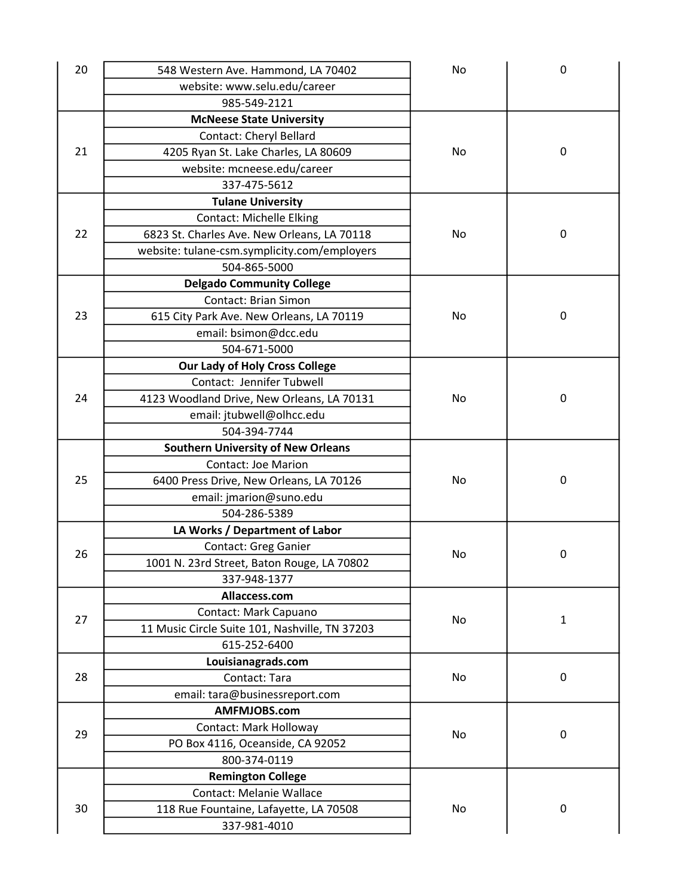| 20 | 548 Western Ave. Hammond, LA 70402             | No | 0            |
|----|------------------------------------------------|----|--------------|
|    | website: www.selu.edu/career                   |    |              |
|    | 985-549-2121                                   |    |              |
|    | <b>McNeese State University</b>                |    |              |
|    | Contact: Cheryl Bellard                        |    |              |
| 21 | 4205 Ryan St. Lake Charles, LA 80609           | No | 0            |
|    | website: mcneese.edu/career                    |    |              |
|    | 337-475-5612                                   |    |              |
|    | <b>Tulane University</b>                       |    |              |
|    | <b>Contact: Michelle Elking</b>                |    |              |
| 22 | 6823 St. Charles Ave. New Orleans, LA 70118    | No | 0            |
|    | website: tulane-csm.symplicity.com/employers   |    |              |
|    | 504-865-5000                                   |    |              |
|    | <b>Delgado Community College</b>               |    |              |
|    | <b>Contact: Brian Simon</b>                    |    |              |
| 23 | 615 City Park Ave. New Orleans, LA 70119       | No | 0            |
|    | email: bsimon@dcc.edu                          |    |              |
|    | 504-671-5000                                   |    |              |
|    | <b>Our Lady of Holy Cross College</b>          |    |              |
|    | Contact: Jennifer Tubwell                      |    |              |
| 24 | 4123 Woodland Drive, New Orleans, LA 70131     | No | 0            |
|    | email: jtubwell@olhcc.edu                      |    |              |
|    | 504-394-7744                                   |    |              |
|    | <b>Southern University of New Orleans</b>      |    |              |
|    | <b>Contact: Joe Marion</b>                     |    |              |
| 25 | 6400 Press Drive, New Orleans, LA 70126        | No | $\mathbf 0$  |
|    | email: jmarion@suno.edu                        |    |              |
|    | 504-286-5389                                   |    |              |
|    | LA Works / Department of Labor                 |    |              |
|    | Contact: Greg Ganier                           |    |              |
| 26 | 1001 N. 23rd Street, Baton Rouge, LA 70802     | No | $\mathbf 0$  |
|    | 337-948-1377                                   |    |              |
|    | Allaccess.com                                  |    |              |
|    | Contact: Mark Capuano                          |    |              |
| 27 | 11 Music Circle Suite 101, Nashville, TN 37203 | No | $\mathbf{1}$ |
|    | 615-252-6400                                   |    |              |
|    | Louisianagrads.com                             |    |              |
| 28 | Contact: Tara                                  | No | $\pmb{0}$    |
|    | email: tara@businessreport.com                 |    |              |
|    | AMFMJOBS.com                                   |    |              |
|    | Contact: Mark Holloway                         |    |              |
| 29 | PO Box 4116, Oceanside, CA 92052               | No | $\mathbf 0$  |
|    | 800-374-0119                                   |    |              |
|    | <b>Remington College</b>                       |    |              |
|    | <b>Contact: Melanie Wallace</b>                |    |              |
| 30 | 118 Rue Fountaine, Lafayette, LA 70508         | No | 0            |
|    | 337-981-4010                                   |    |              |
|    |                                                |    |              |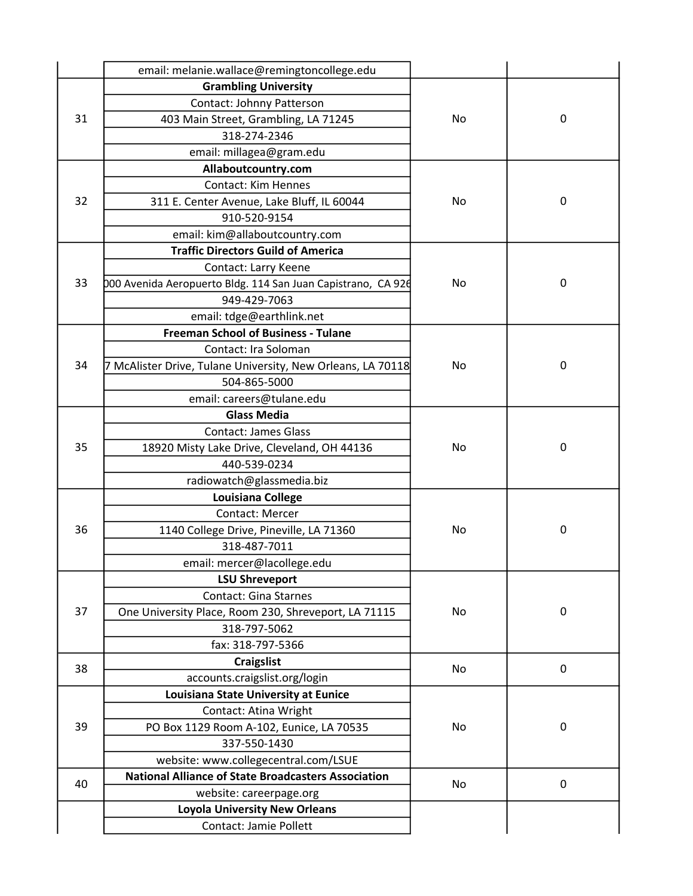|    | email: melanie.wallace@remingtoncollege.edu                  |    |             |
|----|--------------------------------------------------------------|----|-------------|
| 31 | <b>Grambling University</b>                                  | No |             |
|    | Contact: Johnny Patterson                                    |    |             |
|    | 403 Main Street, Grambling, LA 71245                         |    | $\mathbf 0$ |
|    | 318-274-2346                                                 |    |             |
|    | email: millagea@gram.edu                                     |    |             |
|    | Allaboutcountry.com                                          |    |             |
|    | <b>Contact: Kim Hennes</b>                                   |    |             |
| 32 | 311 E. Center Avenue, Lake Bluff, IL 60044                   | No | $\mathbf 0$ |
|    | 910-520-9154                                                 |    |             |
|    | email: kim@allaboutcountry.com                               |    |             |
|    | <b>Traffic Directors Guild of America</b>                    |    |             |
|    | Contact: Larry Keene                                         |    |             |
| 33 | 000 Avenida Aeropuerto Bldg. 114 San Juan Capistrano, CA 926 | No | $\mathbf 0$ |
|    | 949-429-7063                                                 |    |             |
|    | email: tdge@earthlink.net                                    |    |             |
|    | <b>Freeman School of Business - Tulane</b>                   |    |             |
|    | Contact: Ira Soloman                                         |    |             |
| 34 | 7 McAlister Drive, Tulane University, New Orleans, LA 70118  | No | $\pmb{0}$   |
|    | 504-865-5000                                                 |    |             |
|    | email: careers@tulane.edu                                    |    |             |
|    | <b>Glass Media</b>                                           |    |             |
|    | <b>Contact: James Glass</b>                                  |    |             |
| 35 | 18920 Misty Lake Drive, Cleveland, OH 44136                  | No | $\mathbf 0$ |
|    | 440-539-0234                                                 |    |             |
|    | radiowatch@glassmedia.biz                                    |    |             |
|    | Louisiana College                                            |    |             |
|    | Contact: Mercer                                              |    |             |
| 36 | 1140 College Drive, Pineville, LA 71360                      | No | 0           |
|    | 318-487-7011                                                 |    |             |
|    | email: mercer@lacollege.edu                                  |    |             |
|    | <b>LSU Shreveport</b>                                        |    |             |
|    | <b>Contact: Gina Starnes</b>                                 |    |             |
| 37 | One University Place, Room 230, Shreveport, LA 71115         | No | 0           |
|    | 318-797-5062                                                 |    |             |
|    | fax: 318-797-5366                                            |    |             |
| 38 | <b>Craigslist</b>                                            | No | 0           |
|    | accounts.craigslist.org/login                                |    |             |
| 39 | Louisiana State University at Eunice                         |    |             |
|    | Contact: Atina Wright                                        |    |             |
|    | PO Box 1129 Room A-102, Eunice, LA 70535                     | No | 0           |
|    | 337-550-1430                                                 |    |             |
|    | website: www.collegecentral.com/LSUE                         |    |             |
| 40 | <b>National Alliance of State Broadcasters Association</b>   | No | 0           |
|    | website: careerpage.org                                      |    |             |
|    | <b>Loyola University New Orleans</b>                         |    |             |
|    | <b>Contact: Jamie Pollett</b>                                |    |             |